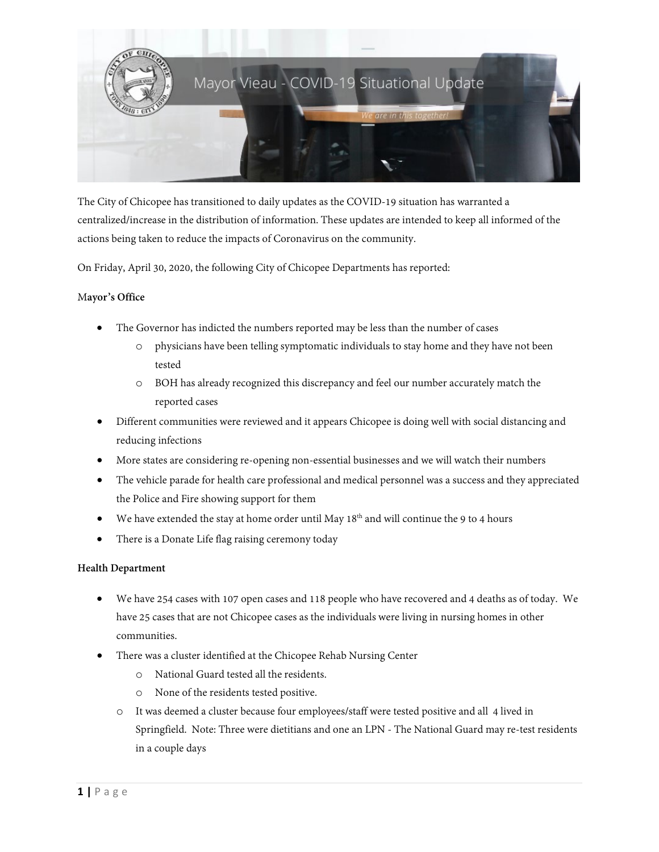

The City of Chicopee has transitioned to daily updates as the COVID-19 situation has warranted a centralized/increase in the distribution of information. These updates are intended to keep all informed of the actions being taken to reduce the impacts of Coronavirus on the community.

On Friday, April 30, 2020, the following City of Chicopee Departments has reported:

# M**ayor's Office**

- The Governor has indicted the numbers reported may be less than the number of cases
	- o physicians have been telling symptomatic individuals to stay home and they have not been tested
	- o BOH has already recognized this discrepancy and feel our number accurately match the reported cases
- Different communities were reviewed and it appears Chicopee is doing well with social distancing and reducing infections
- More states are considering re-opening non-essential businesses and we will watch their numbers
- The vehicle parade for health care professional and medical personnel was a success and they appreciated the Police and Fire showing support for them
- We have extended the stay at home order until May  $18<sup>th</sup>$  and will continue the 9 to 4 hours
- There is a Donate Life flag raising ceremony today

# **Health Department**

- We have 254 cases with 107 open cases and 118 people who have recovered and 4 deaths as of today. We have 25 cases that are not Chicopee cases as the individuals were living in nursing homes in other communities.
- There was a cluster identified at the Chicopee Rehab Nursing Center
	- o National Guard tested all the residents.
	- o None of the residents tested positive.
	- o It was deemed a cluster because four employees/staff were tested positive and all 4 lived in Springfield. Note: Three were dietitians and one an LPN - The National Guard may re-test residents in a couple days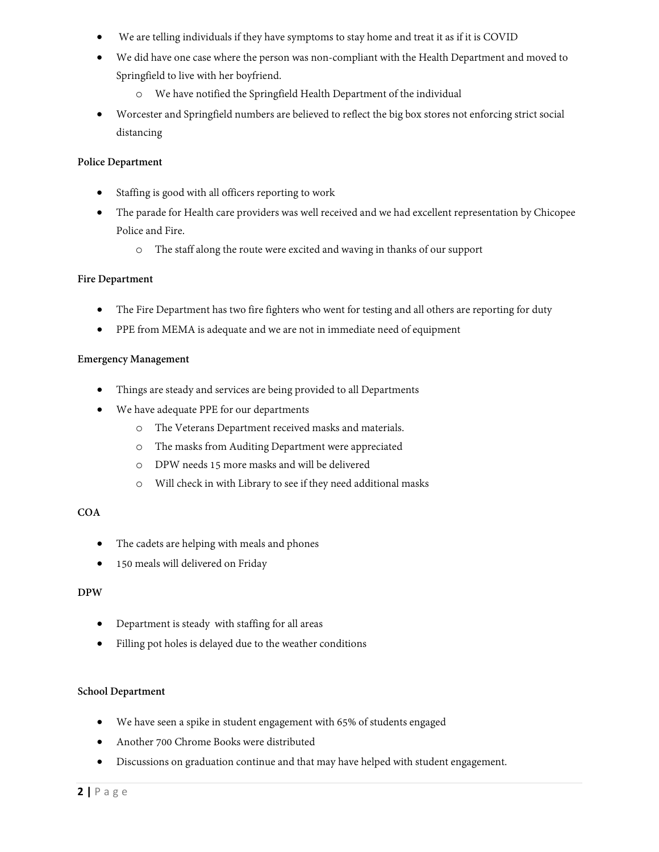- We are telling individuals if they have symptoms to stay home and treat it as if it is COVID
- We did have one case where the person was non-compliant with the Health Department and moved to Springfield to live with her boyfriend.
	- o We have notified the Springfield Health Department of the individual
- Worcester and Springfield numbers are believed to reflect the big box stores not enforcing strict social distancing

# **Police Department**

- Staffing is good with all officers reporting to work
- The parade for Health care providers was well received and we had excellent representation by Chicopee Police and Fire.
	- o The staff along the route were excited and waving in thanks of our support

# **Fire Department**

- The Fire Department has two fire fighters who went for testing and all others are reporting for duty
- PPE from MEMA is adequate and we are not in immediate need of equipment

### **Emergency Management**

- Things are steady and services are being provided to all Departments
- We have adequate PPE for our departments
	- o The Veterans Department received masks and materials.
	- o The masks from Auditing Department were appreciated
	- o DPW needs 15 more masks and will be delivered
	- o Will check in with Library to see if they need additional masks

### **COA**

- The cadets are helping with meals and phones
- 150 meals will delivered on Friday

# **DPW**

- Department is steady with staffing for all areas
- Filling pot holes is delayed due to the weather conditions

### **School Department**

- We have seen a spike in student engagement with 65% of students engaged
- Another 700 Chrome Books were distributed
- Discussions on graduation continue and that may have helped with student engagement.